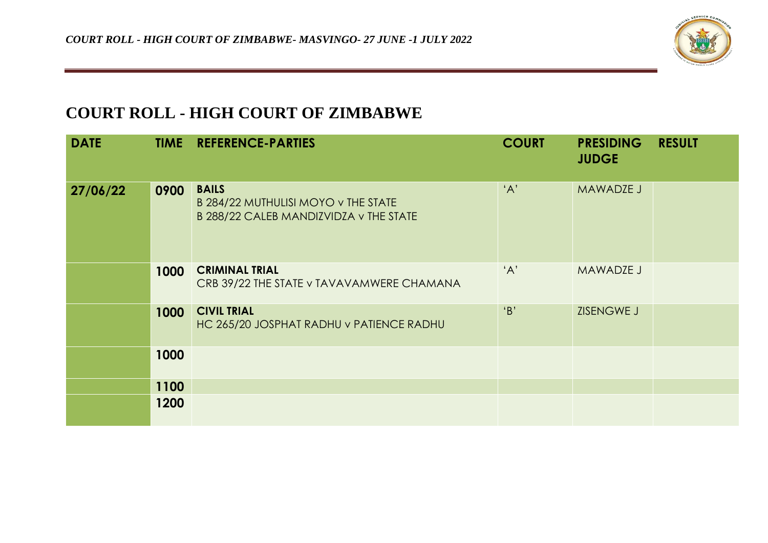

## **COURT ROLL - HIGH COURT OF ZIMBABWE**

| <b>DATE</b> |      | <b>TIME REFERENCE-PARTIES</b>                                                                 | <b>COURT</b> | <b>PRESIDING</b><br><b>JUDGE</b> | <b>RESULT</b> |
|-------------|------|-----------------------------------------------------------------------------------------------|--------------|----------------------------------|---------------|
| 27/06/22    | 0900 | <b>BAILS</b><br>B 284/22 MUTHULISI MOYO v THE STATE<br>B 288/22 CALEB MANDIZVIDZA v THE STATE | 'A'          | MAWADZE J                        |               |
|             | 1000 | <b>CRIMINAL TRIAL</b><br>CRB 39/22 THE STATE v TAVAVAMWERE CHAMANA                            | 'A'          | <b>MAWADZE J</b>                 |               |
|             | 1000 | <b>CIVIL TRIAL</b><br>HC 265/20 JOSPHAT RADHU v PATIENCE RADHU                                | B'           | ZISENGWE J                       |               |
|             | 1000 |                                                                                               |              |                                  |               |
|             | 1100 |                                                                                               |              |                                  |               |
|             | 1200 |                                                                                               |              |                                  |               |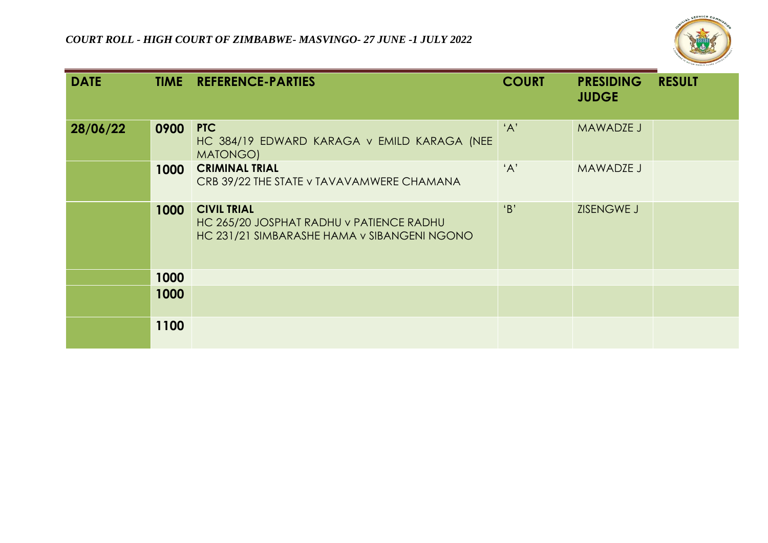

| <b>DATE</b> |      | <b>TIME REFERENCE-PARTIES</b>                                                                                 | <b>COURT</b> | <b>PRESIDING</b><br><b>JUDGE</b> | <b>RESULT</b> |
|-------------|------|---------------------------------------------------------------------------------------------------------------|--------------|----------------------------------|---------------|
| 28/06/22    | 0900 | PTC<br>HC 384/19 EDWARD KARAGA v EMILD KARAGA (NEE<br>MATONGO)                                                | 'A'          | MAWADZE J                        |               |
|             | 1000 | <b>CRIMINAL TRIAL</b><br>CRB 39/22 THE STATE v TAVAVAMWERE CHAMANA                                            | 'A'          | MAWADZE J                        |               |
|             | 1000 | <b>CIVIL TRIAL</b><br>HC 265/20 JOSPHAT RADHU v PATIENCE RADHU<br>HC 231/21 SIMBARASHE HAMA v SIBANGENI NGONO | B'           | ZISENGWE J                       |               |
|             | 1000 |                                                                                                               |              |                                  |               |
|             | 1000 |                                                                                                               |              |                                  |               |
|             | 1100 |                                                                                                               |              |                                  |               |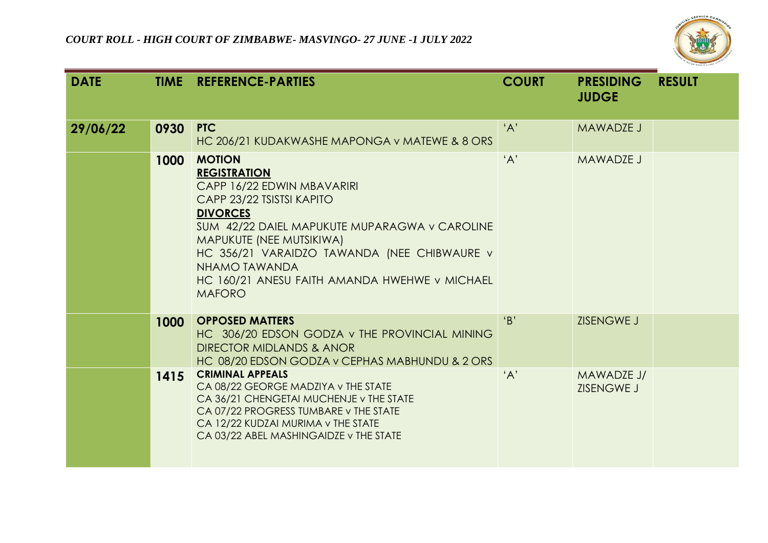

| <b>DATE</b> |      | <b>TIME REFERENCE-PARTIES</b>                                                                                                                                                                                                                                                                                                     | <b>COURT</b> | <b>PRESIDING</b><br><b>JUDGE</b> | <b>RESULT</b> |
|-------------|------|-----------------------------------------------------------------------------------------------------------------------------------------------------------------------------------------------------------------------------------------------------------------------------------------------------------------------------------|--------------|----------------------------------|---------------|
| 29/06/22    | 0930 | PTC<br>HC 206/21 KUDAKWASHE MAPONGA v MATEWE & 8 ORS                                                                                                                                                                                                                                                                              | 'A'          | <b>MAWADZE J</b>                 |               |
|             | 1000 | <b>MOTION</b><br><b>REGISTRATION</b><br>CAPP 16/22 EDWIN MBAVARIRI<br>CAPP 23/22 TSISTSI KAPITO<br><b>DIVORCES</b><br>SUM 42/22 DAIEL MAPUKUTE MUPARAGWA v CAROLINE<br>MAPUKUTE (NEE MUTSIKIWA)<br>HC 356/21 VARAIDZO TAWANDA (NEE CHIBWAURE v<br>NHAMO TAWANDA<br>HC 160/21 ANESU FAITH AMANDA HWEHWE V MICHAEL<br><b>MAFORO</b> | 'A'          | MAWADZE J                        |               |
|             | 1000 | <b>OPPOSED MATTERS</b><br>HC 306/20 EDSON GODZA v THE PROVINCIAL MINING<br><b>DIRECTOR MIDLANDS &amp; ANOR</b><br>HC 08/20 EDSON GODZA v CEPHAS MABHUNDU & 2 ORS                                                                                                                                                                  | B            | ZISENGWE J                       |               |
|             | 1415 | <b>CRIMINAL APPEALS</b><br>CA 08/22 GEORGE MADZIYA v THE STATE<br>CA 36/21 CHENGETAI MUCHENJE v THE STATE<br>CA 07/22 PROGRESS TUMBARE v THE STATE<br>CA 12/22 KUDZAI MURIMA v THE STATE<br>CA 03/22 ABEL MASHINGAIDZE v THE STATE                                                                                                | 'A'          | MAWADZE J/<br>ZISENGWE J         |               |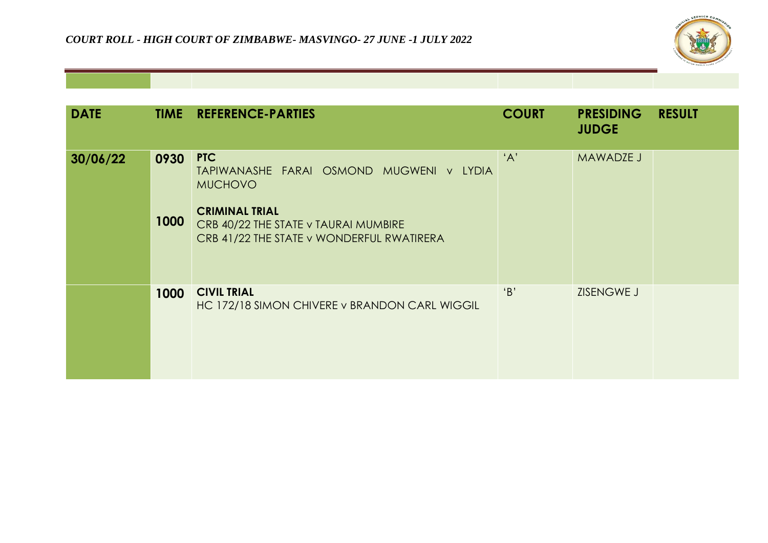

| <b>DATE</b> |              | <b>TIME REFERENCE-PARTIES</b>                                                                                                                                                          | <b>COURT</b> | <b>PRESIDING</b><br><b>JUDGE</b> | <b>RESULT</b> |
|-------------|--------------|----------------------------------------------------------------------------------------------------------------------------------------------------------------------------------------|--------------|----------------------------------|---------------|
| 30/06/22    | 0930<br>1000 | <b>PTC</b><br>TAPIWANASHE FARAI OSMOND MUGWENI v LYDIA<br><b>MUCHOVO</b><br><b>CRIMINAL TRIAL</b><br>CRB 40/22 THE STATE v TAURAI MUMBIRE<br>CRB 41/22 THE STATE v WONDERFUL RWATIRERA | 'A'          | MAWADZE J                        |               |
|             | 1000         | <b>CIVIL TRIAL</b><br>HC 172/18 SIMON CHIVERE v BRANDON CARL WIGGIL                                                                                                                    | B'           | ZISENGWE J                       |               |